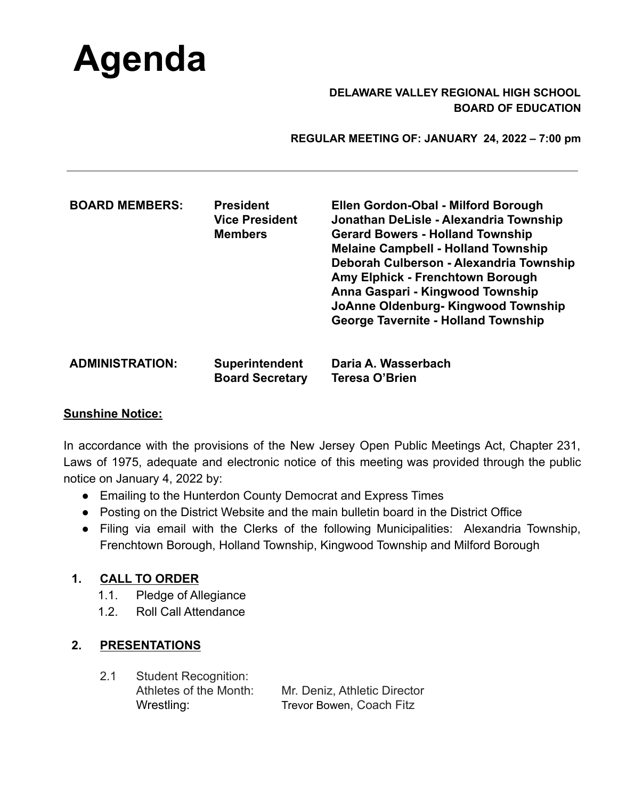# **Agenda**

## **DELAWARE VALLEY REGIONAL HIGH SCHOOL BOARD OF EDUCATION**

**REGULAR MEETING OF: JANUARY 24, 2022 – 7:00 pm**

| <b>BOARD MEMBERS:</b>  | <b>President</b><br><b>Vice President</b><br><b>Members</b> | Ellen Gordon-Obal - Milford Borough<br>Jonathan DeLisle - Alexandria Township<br><b>Gerard Bowers - Holland Township</b><br><b>Melaine Campbell - Holland Township</b><br>Deborah Culberson - Alexandria Township<br>Amy Elphick - Frenchtown Borough<br>Anna Gaspari - Kingwood Township<br>JoAnne Oldenburg-Kingwood Township<br><b>George Tavernite - Holland Township</b> |
|------------------------|-------------------------------------------------------------|-------------------------------------------------------------------------------------------------------------------------------------------------------------------------------------------------------------------------------------------------------------------------------------------------------------------------------------------------------------------------------|
| <b>ADMINISTRATION:</b> | <b>Superintendent</b><br><b>Board Secretary</b>             | Daria A. Wasserbach<br>Teresa O'Brien                                                                                                                                                                                                                                                                                                                                         |

## **Sunshine Notice:**

In accordance with the provisions of the New Jersey Open Public Meetings Act, Chapter 231, Laws of 1975, adequate and electronic notice of this meeting was provided through the public notice on January 4, 2022 by:

- Emailing to the Hunterdon County Democrat and Express Times
- Posting on the District Website and the main bulletin board in the District Office
- Filing via email with the Clerks of the following Municipalities: Alexandria Township, Frenchtown Borough, Holland Township, Kingwood Township and Milford Borough

# **1. CALL TO ORDER**

- 1.1. Pledge of Allegiance
- 1.2. Roll Call Attendance

# **2. PRESENTATIONS**

2.1 Student Recognition:

Athletes of the Month: Mr. Deniz, Athletic Director Wrestling: Trevor Bowen, Coach Fitz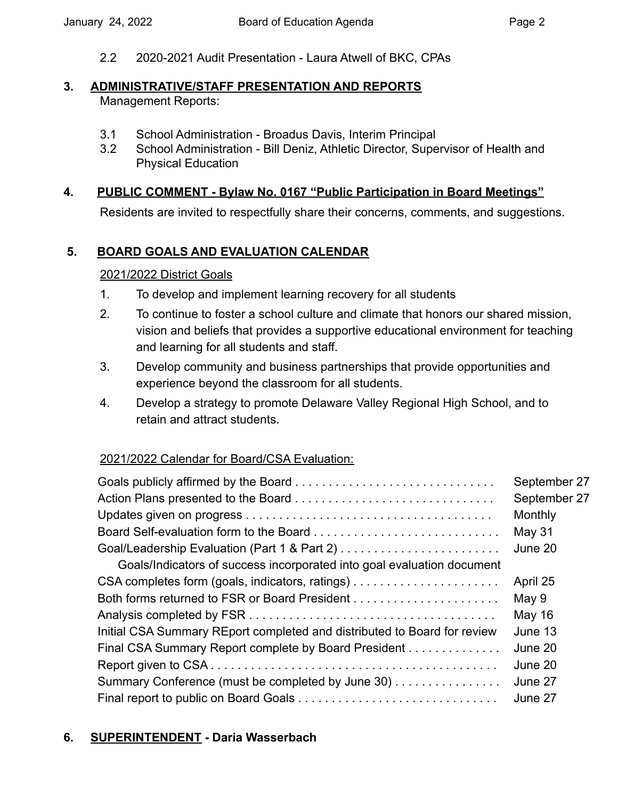2.2 2020-2021 Audit Presentation - Laura Atwell of BKC, CPAs

#### **3. ADMINISTRATIVE/STAFF PRESENTATION AND REPORTS**

Management Reports:

- 3.1 School Administration Broadus Davis, Interim Principal
- 3.2 School Administration Bill Deniz, Athletic Director, Supervisor of Health and Physical Education

## **4. PUBLIC COMMENT - Bylaw No. 0167 "Public Participation in Board Meetings"**

Residents are invited to respectfully share their concerns, comments, and suggestions.

## **5. BOARD GOALS AND EVALUATION CALENDAR**

## 2021/2022 District Goals

- 1. To develop and implement learning recovery for all students
- 2. To continue to foster a school culture and climate that honors our shared mission, vision and beliefs that provides a supportive educational environment for teaching and learning for all students and staff.
- 3. Develop community and business partnerships that provide opportunities and experience beyond the classroom for all students.
- 4. Develop a strategy to promote Delaware Valley Regional High School, and to retain and attract students.

## 2021/2022 Calendar for Board/CSA Evaluation:

|                                                                          | September 27 |
|--------------------------------------------------------------------------|--------------|
|                                                                          | September 27 |
|                                                                          | Monthly      |
|                                                                          | May 31       |
|                                                                          | June 20      |
| Goals/Indicators of success incorporated into goal evaluation document   |              |
|                                                                          | April 25     |
|                                                                          | May 9        |
|                                                                          | May 16       |
| Initial CSA Summary REport completed and distributed to Board for review | June 13      |
| Final CSA Summary Report complete by Board President                     | June 20      |
|                                                                          | June 20      |
| Summary Conference (must be completed by June 30)                        | June 27      |
|                                                                          | June 27      |

# **6. SUPERINTENDENT - Daria Wasserbach**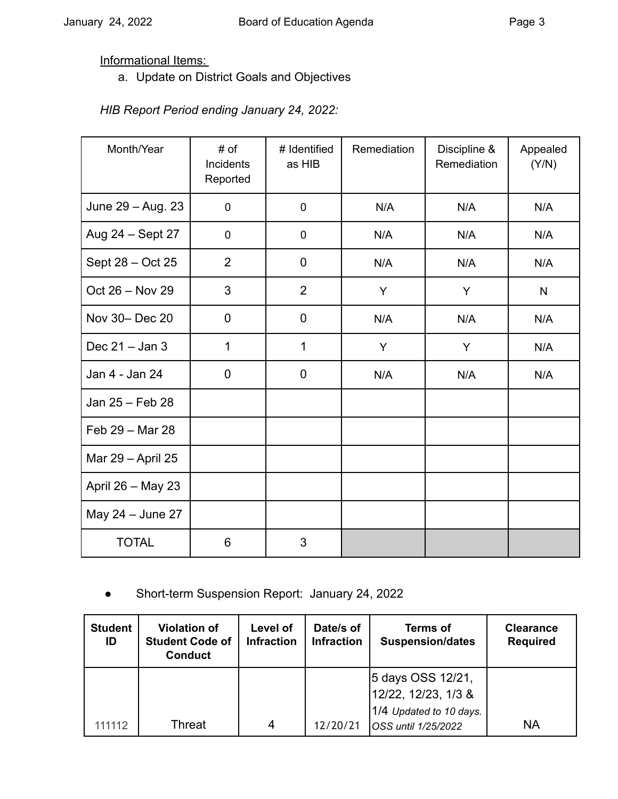Informational Items:

a. Update on District Goals and Objectives

## *HIB Report Period ending January 24, 2022:*

| Month/Year        | # of<br>Incidents<br>Reported | # Identified<br>as HIB | Remediation | Discipline &<br>Remediation | Appealed<br>(Y/N) |
|-------------------|-------------------------------|------------------------|-------------|-----------------------------|-------------------|
| June 29 - Aug. 23 | $\pmb{0}$                     | $\pmb{0}$              | N/A         | N/A                         | N/A               |
| Aug 24 - Sept 27  | $\mathbf 0$                   | 0                      | N/A         | N/A                         | N/A               |
| Sept 28 - Oct 25  | $\overline{2}$                | $\mathbf 0$            | N/A         | N/A                         | N/A               |
| Oct 26 - Nov 29   | 3                             | $\overline{2}$         | Y           | Y                           | N                 |
| Nov 30- Dec 20    | $\mathbf 0$                   | $\mathbf 0$            | N/A         | N/A                         | N/A               |
| Dec $21 -$ Jan 3  | 1                             | 1                      | Y           | Y                           | N/A               |
| Jan 4 - Jan 24    | $\mathbf 0$                   | $\mathbf 0$            | N/A         | N/A                         | N/A               |
| Jan 25 - Feb 28   |                               |                        |             |                             |                   |
| Feb 29 - Mar 28   |                               |                        |             |                             |                   |
| Mar 29 - April 25 |                               |                        |             |                             |                   |
| April 26 - May 23 |                               |                        |             |                             |                   |
| May 24 - June 27  |                               |                        |             |                             |                   |
| <b>TOTAL</b>      | 6                             | 3                      |             |                             |                   |

## Short-term Suspension Report: January 24, 2022

| <b>Student</b><br>ID | <b>Violation of</b><br><b>Student Code of</b><br><b>Conduct</b> | Level of<br><b>Infraction</b> | Date/s of<br><b>Infraction</b> | Terms of<br><b>Suspension/dates</b>            | <b>Clearance</b><br><b>Required</b> |
|----------------------|-----------------------------------------------------------------|-------------------------------|--------------------------------|------------------------------------------------|-------------------------------------|
|                      |                                                                 |                               |                                | 5 days OSS 12/21,<br>12/22, 12/23, 1/3 &       |                                     |
| 111112               | Threat                                                          | 4                             | 12/20/21                       | 1/4 Updated to 10 days.<br>OSS until 1/25/2022 | <b>NA</b>                           |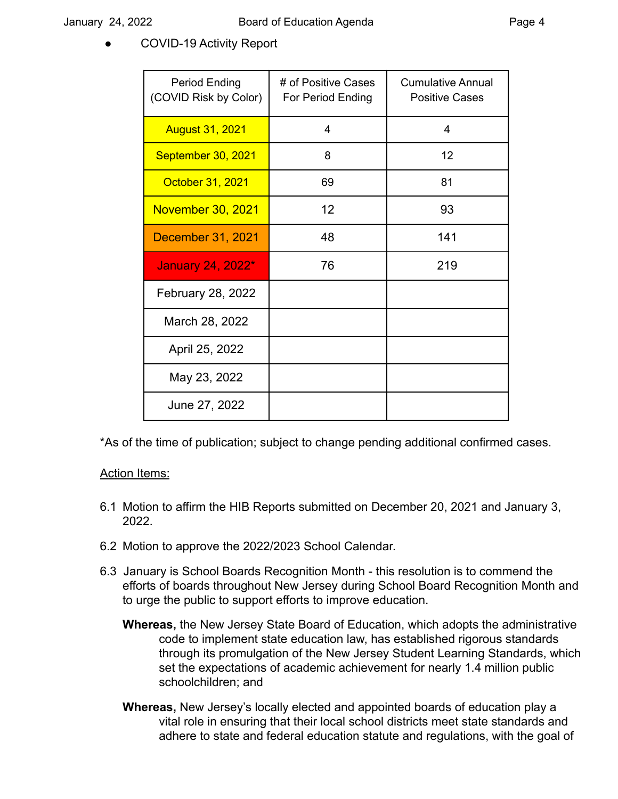COVID-19 Activity Report

| <b>Period Ending</b><br>(COVID Risk by Color) | # of Positive Cases<br>For Period Ending | <b>Cumulative Annual</b><br><b>Positive Cases</b> |
|-----------------------------------------------|------------------------------------------|---------------------------------------------------|
| <b>August 31, 2021</b>                        | $\overline{\mathbf{4}}$                  | 4                                                 |
| September 30, 2021                            | 8                                        | 12                                                |
| October 31, 2021                              | 69                                       | 81                                                |
| November 30, 2021                             | 12                                       | 93                                                |
| December 31, 2021                             | 48                                       | 141                                               |
| January 24, 2022*                             | 76                                       | 219                                               |
| February 28, 2022                             |                                          |                                                   |
| March 28, 2022                                |                                          |                                                   |
| April 25, 2022                                |                                          |                                                   |
| May 23, 2022                                  |                                          |                                                   |
| June 27, 2022                                 |                                          |                                                   |

\*As of the time of publication; subject to change pending additional confirmed cases.

#### Action Items:

- 6.1 Motion to affirm the HIB Reports submitted on December 20, 2021 and January 3, 2022.
- 6.2 Motion to approve the 2022/2023 School Calendar.
- 6.3 January is School Boards Recognition Month this resolution is to commend the efforts of boards throughout New Jersey during School Board Recognition Month and to urge the public to support efforts to improve education.
	- **Whereas,** the New Jersey State Board of Education, which adopts the administrative code to implement state education law, has established rigorous standards through its promulgation of the New Jersey Student Learning Standards, which set the expectations of academic achievement for nearly 1.4 million public schoolchildren; and
	- **Whereas,** New Jersey's locally elected and appointed boards of education play a vital role in ensuring that their local school districts meet state standards and adhere to state and federal education statute and regulations, with the goal of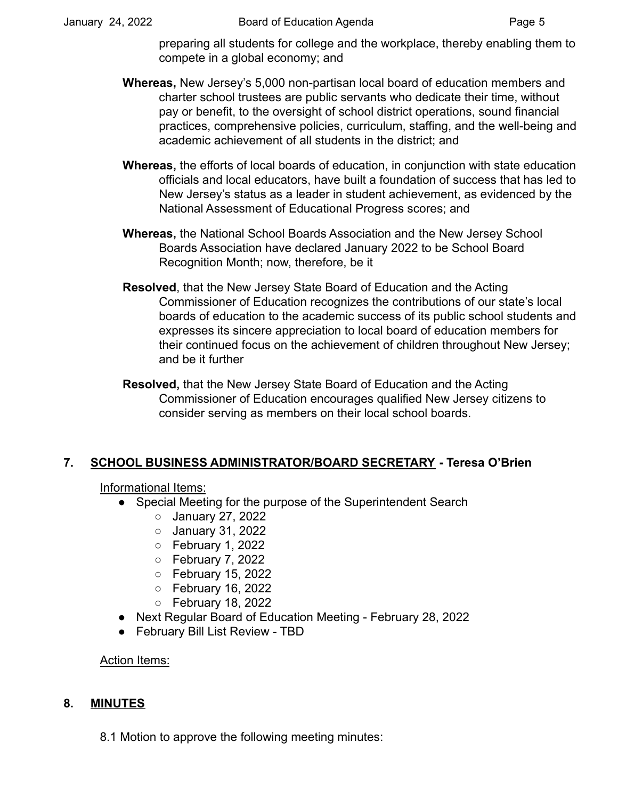preparing all students for college and the workplace, thereby enabling them to compete in a global economy; and

- **Whereas,** New Jersey's 5,000 non-partisan local board of education members and charter school trustees are public servants who dedicate their time, without pay or benefit, to the oversight of school district operations, sound financial practices, comprehensive policies, curriculum, staffing, and the well-being and academic achievement of all students in the district; and
- **Whereas,** the efforts of local boards of education, in conjunction with state education officials and local educators, have built a foundation of success that has led to New Jersey's status as a leader in student achievement, as evidenced by the National Assessment of Educational Progress scores; and
- **Whereas,** the National School Boards Association and the New Jersey School Boards Association have declared January 2022 to be School Board Recognition Month; now, therefore, be it
- **Resolved**, that the New Jersey State Board of Education and the Acting Commissioner of Education recognizes the contributions of our state's local boards of education to the academic success of its public school students and expresses its sincere appreciation to local board of education members for their continued focus on the achievement of children throughout New Jersey; and be it further
- **Resolved,** that the New Jersey State Board of Education and the Acting Commissioner of Education encourages qualified New Jersey citizens to consider serving as members on their local school boards.

## **7. SCHOOL BUSINESS ADMINISTRATOR/BOARD SECRETARY - Teresa O'Brien**

Informational Items:

- Special Meeting for the purpose of the Superintendent Search
	- January 27, 2022
	- January 31, 2022
	- February 1, 2022
	- February 7, 2022
	- February 15, 2022
	- February 16, 2022
	- February 18, 2022
- Next Regular Board of Education Meeting February 28, 2022
- February Bill List Review TBD

Action Items:

# **8. MINUTES**

8.1 Motion to approve the following meeting minutes: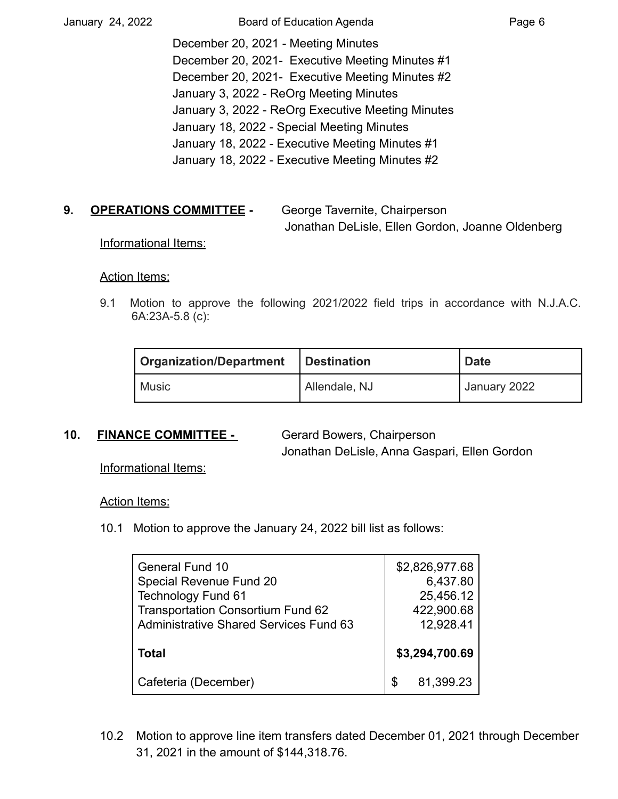January 24, 2022 Board of Education Agenda Page 6

December 20, 2021 - Meeting Minutes December 20, 2021- Executive Meeting Minutes #1 December 20, 2021- Executive Meeting Minutes #2 January 3, 2022 - ReOrg Meeting Minutes January 3, 2022 - ReOrg Executive Meeting Minutes January 18, 2022 - Special Meeting Minutes January 18, 2022 - Executive Meeting Minutes #1 January 18, 2022 - Executive Meeting Minutes #2

**9. OPERATIONS COMMITTEE -** George Tavernite, Chairperson Jonathan DeLisle, Ellen Gordon, Joanne Oldenberg

#### Informational Items:

#### Action Items:

9.1 Motion to approve the following 2021/2022 field trips in accordance with N.J.A.C. 6A:23A-5.8 (c):

| Organization/Department   Destination |               | <b>Date</b>  |  |
|---------------------------------------|---------------|--------------|--|
| ' Music                               | Allendale, NJ | January 2022 |  |

#### 10. **FINANCE COMMITTEE -** Gerard Bowers, Chairperson

Jonathan DeLisle, Anna Gaspari, Ellen Gordon

Informational Items:

#### Action Items:

10.1 Motion to approve the January 24, 2022 bill list as follows:

| <b>General Fund 10</b><br>Special Revenue Fund 20<br><b>Technology Fund 61</b><br><b>Transportation Consortium Fund 62</b><br><b>Administrative Shared Services Fund 63</b> | \$2,826,977.68<br>6,437.80<br>25,456.12<br>422,900.68<br>12,928.41 |
|-----------------------------------------------------------------------------------------------------------------------------------------------------------------------------|--------------------------------------------------------------------|
| <b>Total</b>                                                                                                                                                                | \$3,294,700.69                                                     |
| Cafeteria (December)                                                                                                                                                        | \$<br>81,399.23                                                    |

10.2 Motion to approve line item transfers dated December 01, 2021 through December 31, 2021 in the amount of \$144,318.76.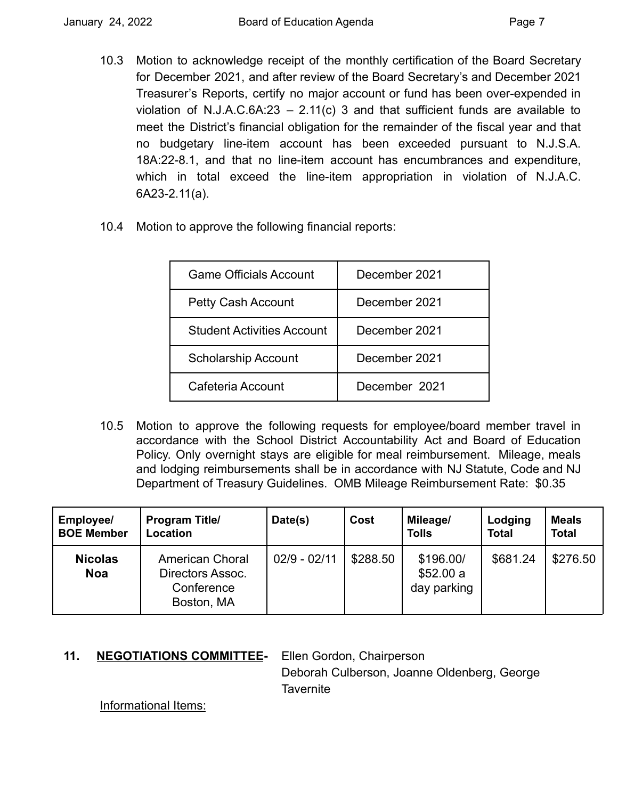- 10.3 Motion to acknowledge receipt of the monthly certification of the Board Secretary for December 2021, and after review of the Board Secretary's and December 2021 Treasurer's Reports, certify no major account or fund has been over-expended in violation of N.J.A.C.6A:23  $-$  2.11(c) 3 and that sufficient funds are available to meet the District's financial obligation for the remainder of the fiscal year and that no budgetary line-item account has been exceeded pursuant to N.J.S.A. 18A:22-8.1, and that no line-item account has encumbrances and expenditure, which in total exceed the line-item appropriation in violation of N.J.A.C. 6A23-2.11(a).
- 10.4 Motion to approve the following financial reports:

| <b>Game Officials Account</b>     | December 2021 |
|-----------------------------------|---------------|
| <b>Petty Cash Account</b>         | December 2021 |
| <b>Student Activities Account</b> | December 2021 |
| <b>Scholarship Account</b>        | December 2021 |
| Cafeteria Account                 | December 2021 |

10.5 Motion to approve the following requests for employee/board member travel in accordance with the School District Accountability Act and Board of Education Policy. Only overnight stays are eligible for meal reimbursement. Mileage, meals and lodging reimbursements shall be in accordance with NJ Statute, Code and NJ Department of Treasury Guidelines. OMB Mileage Reimbursement Rate: \$0.35

| Employee/<br><b>BOE Member</b> | <b>Program Title/</b><br>Location                                      | Date(s)        | Cost     | Mileage/<br><b>Tolls</b>              | Lodging<br><b>Total</b> | <b>Meals</b><br><b>Total</b> |
|--------------------------------|------------------------------------------------------------------------|----------------|----------|---------------------------------------|-------------------------|------------------------------|
| <b>Nicolas</b><br><b>Noa</b>   | <b>American Choral</b><br>Directors Assoc.<br>Conference<br>Boston, MA | $02/9 - 02/11$ | \$288.50 | \$196.00/<br>\$52.00 a<br>day parking | \$681.24                | \$276.50                     |

## **11. NEGOTIATIONS COMMITTEE-** Ellen Gordon, Chairperson

Deborah Culberson, Joanne Oldenberg, George **Tavernite** 

Informational Items: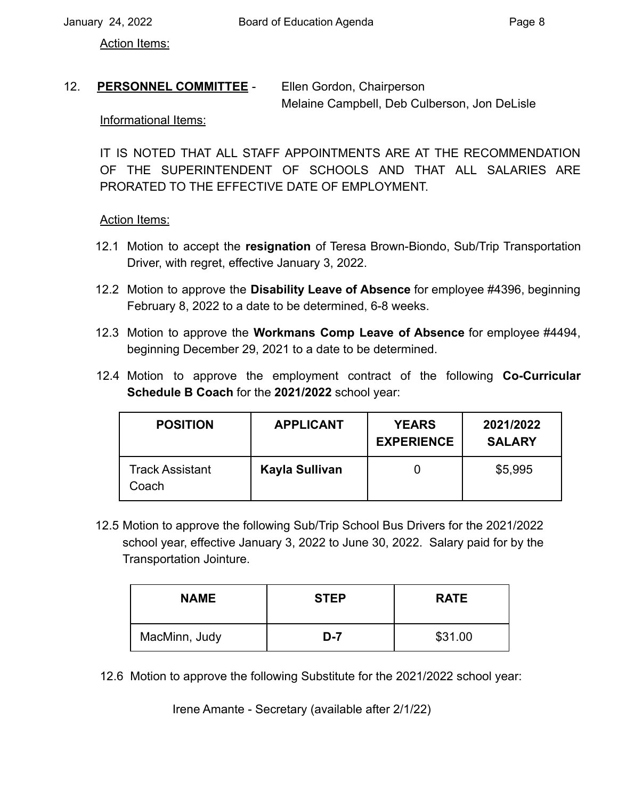Action Items:

# 12. **PERSONNEL COMMITTEE** - Ellen Gordon, Chairperson Melaine Campbell, Deb Culberson, Jon DeLisle

Informational Items:

IT IS NOTED THAT ALL STAFF APPOINTMENTS ARE AT THE RECOMMENDATION OF THE SUPERINTENDENT OF SCHOOLS AND THAT ALL SALARIES ARE PRORATED TO THE EFFECTIVE DATE OF EMPLOYMENT.

#### Action Items:

- 12.1 Motion to accept the **resignation** of Teresa Brown-Biondo, Sub/Trip Transportation Driver, with regret, effective January 3, 2022.
- 12.2 Motion to approve the **Disability Leave of Absence** for employee #4396, beginning February 8, 2022 to a date to be determined, 6-8 weeks.
- 12.3 Motion to approve the **Workmans Comp Leave of Absence** for employee #4494, beginning December 29, 2021 to a date to be determined.
- 12.4 Motion to approve the employment contract of the following **Co-Curricular Schedule B Coach** for the **2021/2022** school year:

| <b>POSITION</b>                 | <b>APPLICANT</b> | <b>YEARS</b><br><b>EXPERIENCE</b> | 2021/2022<br><b>SALARY</b> |
|---------------------------------|------------------|-----------------------------------|----------------------------|
| <b>Track Assistant</b><br>Coach | Kayla Sullivan   |                                   | \$5,995                    |

12.5 Motion to approve the following Sub/Trip School Bus Drivers for the 2021/2022 school year, effective January 3, 2022 to June 30, 2022. Salary paid for by the Transportation Jointure.

| <b>NAME</b>   | <b>STEP</b> | <b>RATE</b> |
|---------------|-------------|-------------|
| MacMinn, Judy | D-7         | \$31.00     |

12.6 Motion to approve the following Substitute for the 2021/2022 school year:

Irene Amante - Secretary (available after 2/1/22)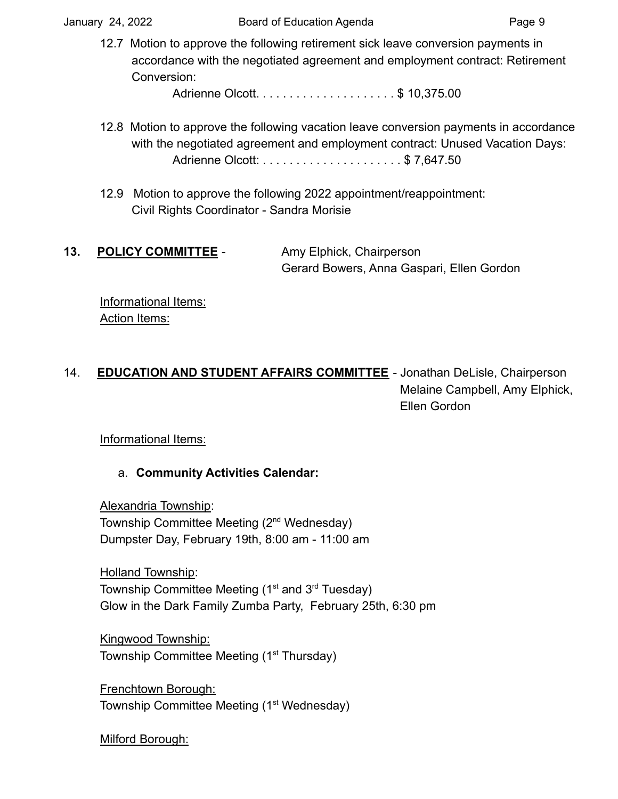12.7 Motion to approve the following retirement sick leave conversion payments in accordance with the negotiated agreement and employment contract: Retirement Conversion:

Adrienne Olcott. . . . . . . . . . . . . . . . . . . . . \$ 10,375.00

- 12.8 Motion to approve the following vacation leave conversion payments in accordance with the negotiated agreement and employment contract: Unused Vacation Days: Adrienne Olcott: . . . . . . . . . . . . . . . . . . . . . \$ 7,647.50
- 12.9 Motion to approve the following 2022 appointment/reappointment: Civil Rights Coordinator - Sandra Morisie
- **13. POLICY COMMITTEE** Amy Elphick, Chairperson Gerard Bowers, Anna Gaspari, Ellen Gordon

Informational Items: Action Items:

14. **EDUCATION AND STUDENT AFFAIRS COMMITTEE** - Jonathan DeLisle, Chairperson Melaine Campbell, Amy Elphick, Ellen Gordon

Informational Items:

# a. **Community Activities Calendar:**

Alexandria Township: Township Committee Meeting (2<sup>nd</sup> Wednesday) Dumpster Day, February 19th, 8:00 am - 11:00 am

Holland Township: Township Committee Meeting  $(1<sup>st</sup>$  and  $3<sup>rd</sup>$  Tuesday) Glow in the Dark Family Zumba Party, February 25th, 6:30 pm

Kingwood Township: Township Committee Meeting (1<sup>st</sup> Thursday)

Frenchtown Borough: Township Committee Meeting (1<sup>st</sup> Wednesday)

Milford Borough: